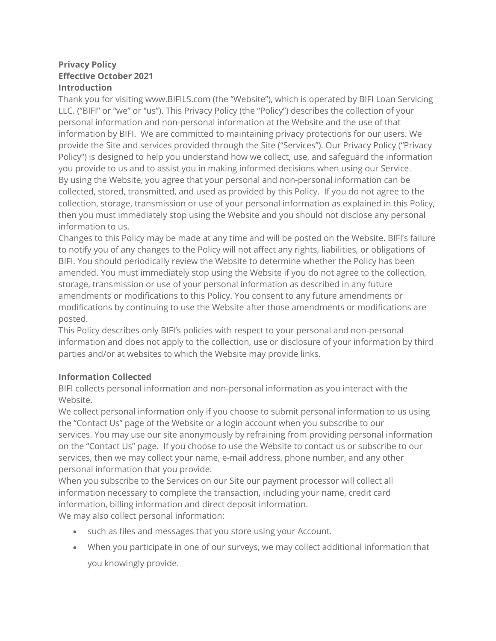## **Privacy Policy Effective October 2021 Introduction**

Thank you for visiting www.BIFILS.com (the "Website"), which is operated by BIFI Loan Servicing LLC. ("BIFI" or "we" or "us"). This Privacy Policy (the "Policy") describes the collection of your personal information and non-personal information at the Website and the use of that information by BIFI. We are committed to maintaining privacy protections for our users. We provide the Site and services provided through the Site ("Services"). Our Privacy Policy ("Privacy Policy") is designed to help you understand how we collect, use, and safeguard the information you provide to us and to assist you in making informed decisions when using our Service. By using the Website, you agree that your personal and non-personal information can be collected, stored, transmitted, and used as provided by this Policy. If you do not agree to the collection, storage, transmission or use of your personal information as explained in this Policy, then you must immediately stop using the Website and you should not disclose any personal information to us.

Changes to this Policy may be made at any time and will be posted on the Website. BIFI's failure to notify you of any changes to the Policy will not affect any rights, liabilities, or obligations of BIFI. You should periodically review the Website to determine whether the Policy has been amended. You must immediately stop using the Website if you do not agree to the collection, storage, transmission or use of your personal information as described in any future amendments or modifications to this Policy. You consent to any future amendments or modifications by continuing to use the Website after those amendments or modifications are posted.

This Policy describes only BIFI's policies with respect to your personal and non-personal information and does not apply to the collection, use or disclosure of your information by third parties and/or at websites to which the Website may provide links.

# **Information Collected**

BIFI collects personal information and non-personal information as you interact with the Website.

We collect personal information only if you choose to submit personal information to us using the "Contact Us" page of the Website or a login account when you subscribe to our services. You may use our site anonymously by refraining from providing personal information on the "Contact Us" page. If you choose to use the Website to contact us or subscribe to our services, then we may collect your name, e-mail address, phone number, and any other personal information that you provide.

When you subscribe to the Services on our Site our payment processor will collect all information necessary to complete the transaction, including your name, credit card information, billing information and direct deposit information. We may also collect personal information:

- such as files and messages that you store using your Account.
- When you participate in one of our surveys, we may collect additional information that you knowingly provide.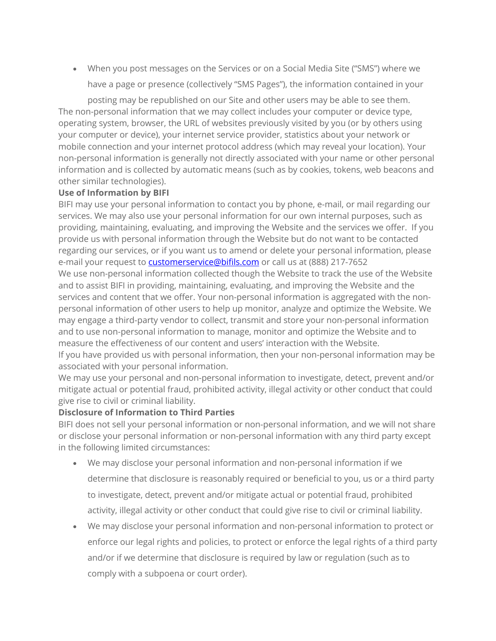• When you post messages on the Services or on a Social Media Site ("SMS") where we have a page or presence (collectively "SMS Pages"), the information contained in your

posting may be republished on our Site and other users may be able to see them. The non-personal information that we may collect includes your computer or device type, operating system, browser, the URL of websites previously visited by you (or by others using your computer or device), your internet service provider, statistics about your network or mobile connection and your internet protocol address (which may reveal your location). Your non-personal information is generally not directly associated with your name or other personal information and is collected by automatic means (such as by cookies, tokens, web beacons and other similar technologies).

## **Use of Information by BIFI**

BIFI may use your personal information to contact you by phone, e-mail, or mail regarding our services. We may also use your personal information for our own internal purposes, such as providing, maintaining, evaluating, and improving the Website and the services we offer. If you provide us with personal information through the Website but do not want to be contacted regarding our services, or if you want us to amend or delete your personal information, please e-mail your request to **customerservice@bifils.com** or call us at (888) 217-7652 We use non-personal information collected though the Website to track the use of the Website

and to assist BIFI in providing, maintaining, evaluating, and improving the Website and the services and content that we offer. Your non-personal information is aggregated with the nonpersonal information of other users to help up monitor, analyze and optimize the Website. We may engage a third-party vendor to collect, transmit and store your non-personal information and to use non-personal information to manage, monitor and optimize the Website and to measure the effectiveness of our content and users' interaction with the Website.

If you have provided us with personal information, then your non-personal information may be associated with your personal information.

We may use your personal and non-personal information to investigate, detect, prevent and/or mitigate actual or potential fraud, prohibited activity, illegal activity or other conduct that could give rise to civil or criminal liability.

# **Disclosure of Information to Third Parties**

BIFI does not sell your personal information or non-personal information, and we will not share or disclose your personal information or non-personal information with any third party except in the following limited circumstances:

- We may disclose your personal information and non-personal information if we determine that disclosure is reasonably required or beneficial to you, us or a third party to investigate, detect, prevent and/or mitigate actual or potential fraud, prohibited activity, illegal activity or other conduct that could give rise to civil or criminal liability.
- We may disclose your personal information and non-personal information to protect or enforce our legal rights and policies, to protect or enforce the legal rights of a third party and/or if we determine that disclosure is required by law or regulation (such as to comply with a subpoena or court order).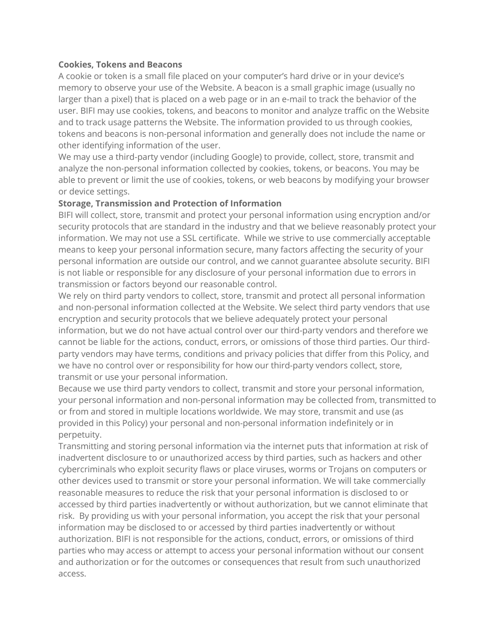#### **Cookies, Tokens and Beacons**

A cookie or token is a small file placed on your computer's hard drive or in your device's memory to observe your use of the Website. A beacon is a small graphic image (usually no larger than a pixel) that is placed on a web page or in an e-mail to track the behavior of the user. BIFI may use cookies, tokens, and beacons to monitor and analyze traffic on the Website and to track usage patterns the Website. The information provided to us through cookies, tokens and beacons is non-personal information and generally does not include the name or other identifying information of the user.

We may use a third-party vendor (including Google) to provide, collect, store, transmit and analyze the non-personal information collected by cookies, tokens, or beacons. You may be able to prevent or limit the use of cookies, tokens, or web beacons by modifying your browser or device settings.

## **Storage, Transmission and Protection of Information**

BIFI will collect, store, transmit and protect your personal information using encryption and/or security protocols that are standard in the industry and that we believe reasonably protect your information. We may not use a SSL certificate. While we strive to use commercially acceptable means to keep your personal information secure, many factors affecting the security of your personal information are outside our control, and we cannot guarantee absolute security. BIFI is not liable or responsible for any disclosure of your personal information due to errors in transmission or factors beyond our reasonable control.

We rely on third party vendors to collect, store, transmit and protect all personal information and non-personal information collected at the Website. We select third party vendors that use encryption and security protocols that we believe adequately protect your personal information, but we do not have actual control over our third-party vendors and therefore we cannot be liable for the actions, conduct, errors, or omissions of those third parties. Our thirdparty vendors may have terms, conditions and privacy policies that differ from this Policy, and we have no control over or responsibility for how our third-party vendors collect, store, transmit or use your personal information.

Because we use third party vendors to collect, transmit and store your personal information, your personal information and non-personal information may be collected from, transmitted to or from and stored in multiple locations worldwide. We may store, transmit and use (as provided in this Policy) your personal and non-personal information indefinitely or in perpetuity.

Transmitting and storing personal information via the internet puts that information at risk of inadvertent disclosure to or unauthorized access by third parties, such as hackers and other cybercriminals who exploit security flaws or place viruses, worms or Trojans on computers or other devices used to transmit or store your personal information. We will take commercially reasonable measures to reduce the risk that your personal information is disclosed to or accessed by third parties inadvertently or without authorization, but we cannot eliminate that risk. By providing us with your personal information, you accept the risk that your personal information may be disclosed to or accessed by third parties inadvertently or without authorization. BIFI is not responsible for the actions, conduct, errors, or omissions of third parties who may access or attempt to access your personal information without our consent and authorization or for the outcomes or consequences that result from such unauthorized access.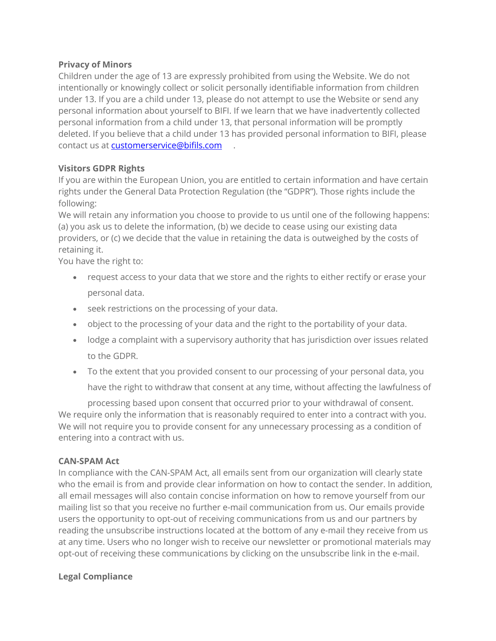# **Privacy of Minors**

Children under the age of 13 are expressly prohibited from using the Website. We do not intentionally or knowingly collect or solicit personally identifiable information from children under 13. If you are a child under 13, please do not attempt to use the Website or send any personal information about yourself to BIFI. If we learn that we have inadvertently collected personal information from a child under 13, that personal information will be promptly deleted. If you believe that a child under 13 has provided personal information to BIFI, please contact us at **customerservice@bifils.com** 

# **Visitors GDPR Rights**

If you are within the European Union, you are entitled to certain information and have certain rights under the General Data Protection Regulation (the "GDPR"). Those rights include the following:

We will retain any information you choose to provide to us until one of the following happens: (a) you ask us to delete the information, (b) we decide to cease using our existing data providers, or (c) we decide that the value in retaining the data is outweighed by the costs of retaining it.

You have the right to:

- request access to your data that we store and the rights to either rectify or erase your personal data.
- seek restrictions on the processing of your data.
- object to the processing of your data and the right to the portability of your data.
- lodge a complaint with a supervisory authority that has jurisdiction over issues related to the GDPR.
- To the extent that you provided consent to our processing of your personal data, you

have the right to withdraw that consent at any time, without affecting the lawfulness of

processing based upon consent that occurred prior to your withdrawal of consent. We require only the information that is reasonably required to enter into a contract with you. We will not require you to provide consent for any unnecessary processing as a condition of entering into a contract with us.

#### **CAN-SPAM Act**

In compliance with the CAN-SPAM Act, all emails sent from our organization will clearly state who the email is from and provide clear information on how to contact the sender. In addition, all email messages will also contain concise information on how to remove yourself from our mailing list so that you receive no further e-mail communication from us. Our emails provide users the opportunity to opt-out of receiving communications from us and our partners by reading the unsubscribe instructions located at the bottom of any e-mail they receive from us at any time. Users who no longer wish to receive our newsletter or promotional materials may opt-out of receiving these communications by clicking on the unsubscribe link in the e-mail.

# **Legal Compliance**